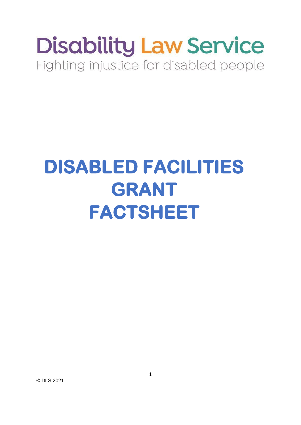# **Disability Law Service** Fighting injustice for disabled people

# **DISABLED FACILITIES GRANT FACTSHEET**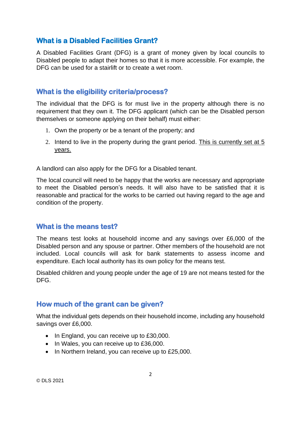#### **What is a Disabled Facilities Grant?**

A Disabled Facilities Grant (DFG) is a grant of money given by local councils to Disabled people to adapt their homes so that it is more accessible. For example, the DFG can be used for a stairlift or to create a wet room.

#### **What is the eligibility criteria/process?**

The individual that the DFG is for must live in the property although there is no requirement that they own it. The DFG applicant (which can be the Disabled person themselves or someone applying on their behalf) must either:

- 1. Own the property or be a tenant of the property; and
- 2. Intend to live in the property during the grant period. This is currently set at 5 years.

A landlord can also apply for the DFG for a Disabled tenant.

The local council will need to be happy that the works are necessary and appropriate to meet the Disabled person's needs. It will also have to be satisfied that it is reasonable and practical for the works to be carried out having regard to the age and condition of the property.

#### **What is the means test?**

The means test looks at household income and any savings over £6,000 of the Disabled person and any spouse or partner. Other members of the household are not included. Local councils will ask for bank statements to assess income and expenditure. Each local authority has its own policy for the means test.

Disabled children and young people under the age of 19 are not means tested for the DFG.

#### **How much of the grant can be given?**

What the individual gets depends on their household income, including any household savings over £6,000.

- In England, you can receive up to £30,000.
- In Wales, you can receive up to £36,000.
- In Northern Ireland, you can receive up to £25,000.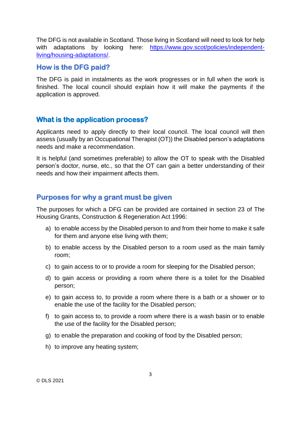The DFG is not available in Scotland. Those living in Scotland will need to look for help with adaptations by looking here: [https://www.gov.scot/policies/independent](https://www.gov.scot/policies/independent-living/housing-adaptations/)[living/housing-adaptations/.](https://www.gov.scot/policies/independent-living/housing-adaptations/)

#### **How is the DFG paid?**

The DFG is paid in instalments as the work progresses or in full when the work is finished. The local council should explain how it will make the payments if the application is approved.

#### **What is the application process?**

Applicants need to apply directly to their local council. The local council will then assess (usually by an Occupational Therapist (OT)) the Disabled person's adaptations needs and make a recommendation.

It is helpful (and sometimes preferable) to allow the OT to speak with the Disabled person's doctor, nurse, etc., so that the OT can gain a better understanding of their needs and how their impairment affects them.

#### **Purposes for why a grant must be given**

The purposes for which a DFG can be provided are contained in section 23 of The Housing Grants, Construction & Regeneration Act 1996:

- a) to enable access by the Disabled person to and from their home to make it safe for them and anyone else living with them;
- b) to enable access by the Disabled person to a room used as the main family room;
- c) to gain access to or to provide a room for sleeping for the Disabled person;
- d) to gain access or providing a room where there is a toilet for the Disabled person;
- e) to gain access to, to provide a room where there is a bath or a shower or to enable the use of the facility for the Disabled person;
- f) to gain access to, to provide a room where there is a wash basin or to enable the use of the facility for the Disabled person;
- g) to enable the preparation and cooking of food by the Disabled person;
- h) to improve any heating system;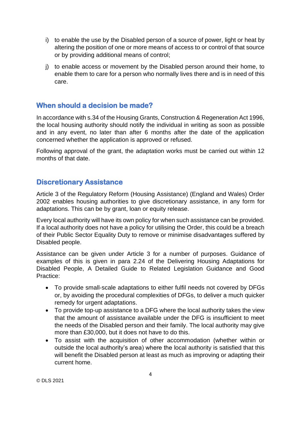- i) to enable the use by the Disabled person of a source of power, light or heat by altering the position of one or more means of access to or control of that source or by providing additional means of control;
- j) to enable access or movement by the Disabled person around their home, to enable them to care for a person who normally lives there and is in need of this care.

#### **When should a decision be made?**

In accordance with s.34 of the Housing Grants, Construction & Regeneration Act 1996, the local housing authority should notify the individual in writing as soon as possible and in any event, no later than after 6 months after the date of the application concerned whether the application is approved or refused.

Following approval of the grant, the adaptation works must be carried out within 12 months of that date.

#### **Discretionary Assistance**

Article 3 of the Regulatory Reform (Housing Assistance) (England and Wales) Order 2002 enables housing authorities to give discretionary assistance, in any form for adaptations. This can be by grant, loan or equity release.

Every local authority will have its own policy for when such assistance can be provided. If a local authority does not have a policy for utilising the Order, this could be a breach of their Public Sector Equality Duty to remove or minimise disadvantages suffered by Disabled people.

Assistance can be given under Article 3 for a number of purposes. Guidance of examples of this is given in para 2.24 of the Delivering Housing Adaptations for Disabled People, A Detailed Guide to Related Legislation Guidance and Good Practice:

- To provide small‐scale adaptations to either fulfil needs not covered by DFGs or, by avoiding the procedural complexities of DFGs, to deliver a much quicker remedy for urgent adaptations.
- To provide top‐up assistance to a DFG where the local authority takes the view that the amount of assistance available under the DFG is insufficient to meet the needs of the Disabled person and their family. The local authority may give more than £30,000, but it does not have to do this.
- To assist with the acquisition of other accommodation (whether within or outside the local authority's area) where the local authority is satisfied that this will benefit the Disabled person at least as much as improving or adapting their current home.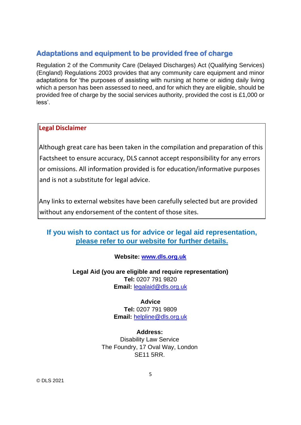### **Adaptations and equipment to be provided free of charge**

Regulation 2 of the Community Care (Delayed Discharges) Act (Qualifying Services) (England) Regulations 2003 provides that any community care equipment and minor adaptations for 'the purposes of assisting with nursing at home or aiding daily living which a person has been assessed to need, and for which they are eligible, should be provided free of charge by the social services authority, provided the cost is £1,000 or less'.

#### **Legal Disclaimer**

Although great care has been taken in the compilation and preparation of this Factsheet to ensure accuracy, DLS cannot accept responsibility for any errors or omissions. All information provided is for education/informative purposes and is not a substitute for legal advice.

Any links to external websites have been carefully selected but are provided without any endorsement of the content of those sites.

## **If you wish to contact us for advice or legal aid representation, please refer to our website for further details.**

#### **Website: [www.dls.org.uk](http://www.dls.org.uk/)**

#### **Legal Aid (you are eligible and require representation) Tel:** 0207 791 9820 **Email:** [legalaid@dls.org.uk](mailto:legalaid@dls.org.uk)

# **Advice Tel:** 0207 791 9809

**Email:** [helpline@dls.org.uk](mailto:helpline@dls.org.uk)

**Address:** Disability Law Service The Foundry, 17 Oval Way, London SE11 5RR.